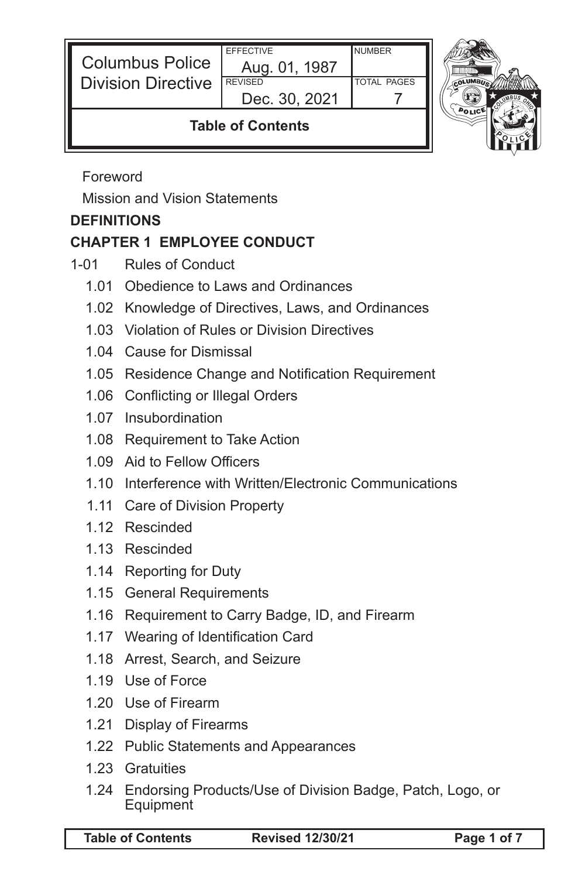| <b>Columbus Police</b><br><b>Division Directive</b> | <b>EFFECTIVE</b><br>Aug. 01, 1987<br><b>REVISED</b><br>Dec. 30, 2021 | <b>NUMBER</b><br><b>TOTAL PAGES</b> |  |
|-----------------------------------------------------|----------------------------------------------------------------------|-------------------------------------|--|
| <b>Table of Contents</b>                            |                                                                      |                                     |  |

Foreword

Mission and Vision Statements

## **DEFINITIONS**

# **CHAPTER 1 EMPLOYEE CONDUCT**

- 1-01 Rules of Conduct
	- 1.01 Obedience to Laws and Ordinances
	- 1.02 Knowledge of Directives, Laws, and Ordinances
	- 1.03 Violation of Rules or Division Directives
	- 1.04 Cause for Dismissal
	- 1.05 Residence Change and Notification Requirement
	- 1.06 Conflicting or Illegal Orders
	- 1.07 Insubordination
	- 1.08 Requirement to Take Action
	- 1.09 Aid to Fellow Officers
	- 1.10 Interference with Written/Electronic Communications
	- 1.11 Care of Division Property
	- 1.12 Rescinded
	- 1.13 Rescinded
	- 1.14 Reporting for Duty
	- 1.15 General Requirements
	- 1.16 Requirement to Carry Badge, ID, and Firearm
	- 1.17 Wearing of Identification Card
	- 1.18 Arrest, Search, and Seizure
	- 1.19 Use of Force
	- 1.20 Use of Firearm
	- 1.21 Display of Firearms
	- 1.22 Public Statements and Appearances
	- 1.23 Gratuities
	- 1.24 Endorsing Products/Use of Division Badge, Patch, Logo, or Equipment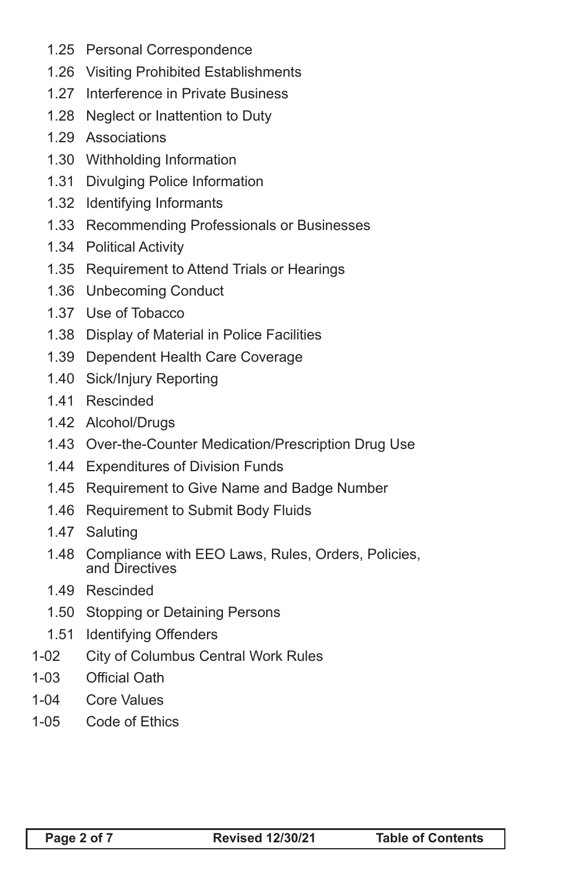- 1.25 Personal Correspondence
- 1.26 Visiting Prohibited Establishments
- 1.27 Interference in Private Business
- 1.28 Neglect or Inattention to Duty
- 1.29 Associations
- 1.30 Withholding Information
- 1.31 Divulging Police Information
- 1.32 Identifying Informants
- 1.33 Recommending Professionals or Businesses
- 1.34 Political Activity
- 1.35 Requirement to Attend Trials or Hearings
- 1.36 Unbecoming Conduct
- 1.37 Use of Tobacco
- 1.38 Display of Material in Police Facilities
- 1.39 Dependent Health Care Coverage
- 1.40 Sick/Injury Reporting
- 1.41 Rescinded
- 1.42 Alcohol/Drugs
- 1.43 Over-the-Counter Medication/Prescription Drug Use
- 1.44 Expenditures of Division Funds
- 1.45 Requirement to Give Name and Badge Number
- 1.46 Requirement to Submit Body Fluids
- 1.47 Saluting
- 1.48 Compliance with EEO Laws, Rules, Orders, Policies, and Directives
- 1.49 Rescinded
- 1.50 Stopping or Detaining Persons
- 1.51 Identifying Offenders
- 1-02 City of Columbus Central Work Rules
- 1-03 Official Oath
- 1-04 Core Values
- 1-05 Code of Ethics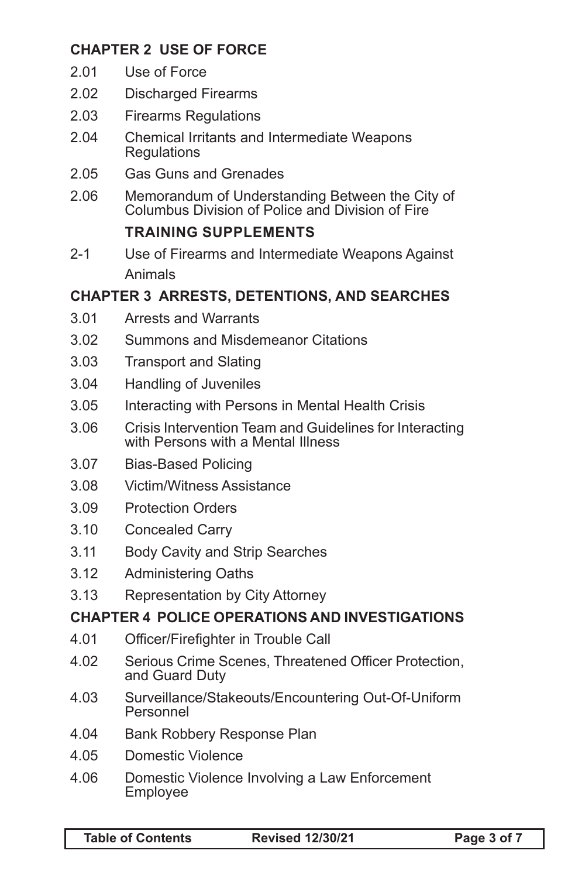# **CHAPTER 2 USE OF FORCE**

- 2.01 Use of Force
- 2.02 Discharged Firearms
- 2.03 Firearms Regulations
- 2.04 Chemical Irritants and Intermediate Weapons **Regulations**
- 2.05 Gas Guns and Grenades
- 2.06 Memorandum of Understanding Between the City of Columbus Division of Police and Division of Fire

#### **TRAINING SUPPLEMENTS**

2-1 Use of Firearms and Intermediate Weapons Against Animals

#### **CHAPTER 3 ARRESTS, DETENTIONS, AND SEARCHES**

- 3.01 Arrests and Warrants
- 3.02 Summons and Misdemeanor Citations
- 3.03 Transport and Slating
- 3.04 Handling of Juveniles
- 3.05 Interacting with Persons in Mental Health Crisis
- 3.06 Crisis Intervention Team and Guidelines for Interacting with Persons with a Mental Illness
- 3.07 Bias-Based Policing
- 3.08 Victim/Witness Assistance
- 3.09 Protection Orders
- 3.10 Concealed Carry
- 3.11 Body Cavity and Strip Searches
- 3.12 Administering Oaths
- 3.13 Representation by City Attorney

#### **CHAPTER 4 POLICE OPERATIONS AND INVESTIGATIONS**

- 4.01 Officer/Firefighter in Trouble Call
- 4.02 Serious Crime Scenes, Threatened Officer Protection, and Guard Duty
- 4.03 Surveillance/Stakeouts/Encountering Out-Of-Uniform Personnel
- 4.04 Bank Robbery Response Plan
- 4.05 Domestic Violence
- 4.06 Domestic Violence Involving a Law Enforcement Employee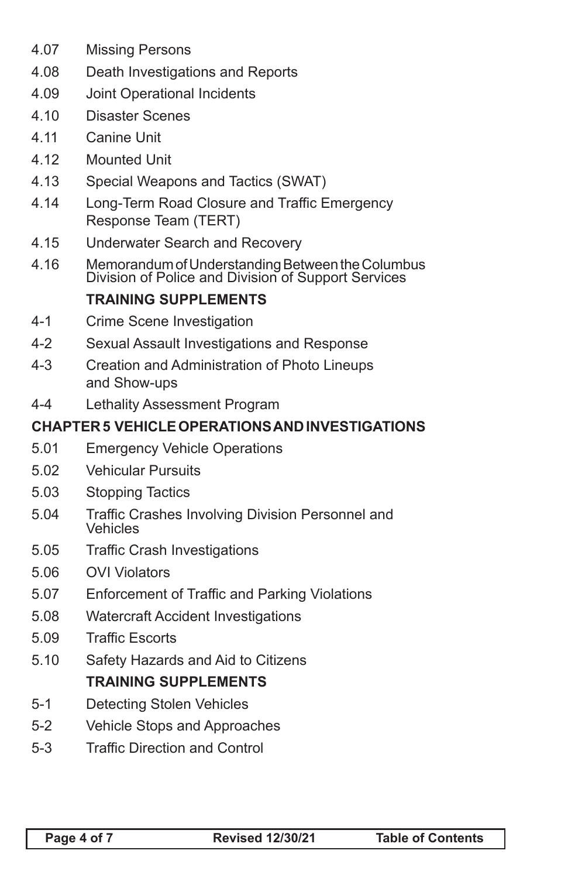- 4.07 Missing Persons
- 4.08 Death Investigations and Reports
- 4.09 Joint Operational Incidents
- 4.10 Disaster Scenes
- 4.11 Canine Unit
- 4.12 Mounted Unit
- 4.13 Special Weapons and Tactics (SWAT)
- 4.14 Long-Term Road Closure and Traffic Emergency Response Team (TERT)
- 4.15 Underwater Search and Recovery
- 4.16 Memorandum of Understanding Between the Columbus Division of Police and Division of Support Services

#### **TRAINING SUPPLEMENTS**

- 4-1 Crime Scene Investigation
- 4-2 Sexual Assault Investigations and Response
- 4-3 Creation and Administration of Photo Lineups and Show-ups
- 4-4 Lethality Assessment Program

#### **CHAPTER 5 VEHICLE OPERATIONS AND INVESTIGATIONS**

- 5.01 Emergency Vehicle Operations
- 5.02 Vehicular Pursuits
- 5.03 Stopping Tactics
- 5.04 Traffic Crashes Involving Division Personnel and Vehicles
- 5.05 Traffic Crash Investigations
- 5.06 OVI Violators
- 5.07 Enforcement of Traffic and Parking Violations
- 5.08 Watercraft Accident Investigations
- 5.09 Traffic Escorts
- 5.10 Safety Hazards and Aid to Citizens **TRAINING SUPPLEMENTS**
- 5-1 Detecting Stolen Vehicles
- 5-2 Vehicle Stops and Approaches
- 5-3 Traffic Direction and Control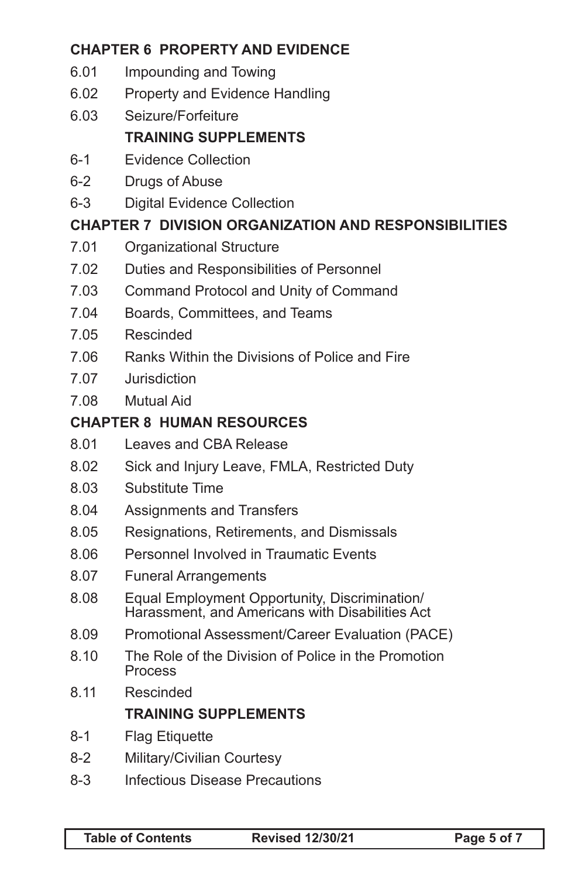# **CHAPTER 6 PROPERTY AND EVIDENCE**

- 6.01 Impounding and Towing
- 6.02 Property and Evidence Handling
- 6.03 Seizure/Forfeiture

# **TRAINING SUPPLEMENTS**

- 6-1 Evidence Collection
- 6-2 Drugs of Abuse
- 6-3 Digital Evidence Collection

## **CHAPTER 7 DIVISION ORGANIZATION AND RESPONSIBILITIES**

- 7.01 Organizational Structure
- 7.02 Duties and Responsibilities of Personnel
- 7.03 Command Protocol and Unity of Command
- 7.04 Boards, Committees, and Teams
- 7.05 Rescinded
- 7.06 Ranks Within the Divisions of Police and Fire
- 7.07 Jurisdiction
- 7.08 Mutual Aid

## **CHAPTER 8 HUMAN RESOURCES**

- 8.01 Leaves and CBA Release
- 8.02 Sick and Injury Leave, FMLA, Restricted Duty
- 8.03 Substitute Time
- 8.04 Assignments and Transfers
- 8.05 Resignations, Retirements, and Dismissals
- 8.06 Personnel Involved in Traumatic Events
- 8.07 Funeral Arrangements
- 8.08 Equal Employment Opportunity, Discrimination/ Harassment, and Americans with Disabilities Act
- 8.09 Promotional Assessment/Career Evaluation (PACE)
- 8.10 The Role of the Division of Police in the Promotion Process
- 8.11 Rescinded

## **TRAINING SUPPLEMENTS**

- 8-1 Flag Etiquette
- 8-2 Military/Civilian Courtesy
- 8-3 Infectious Disease Precautions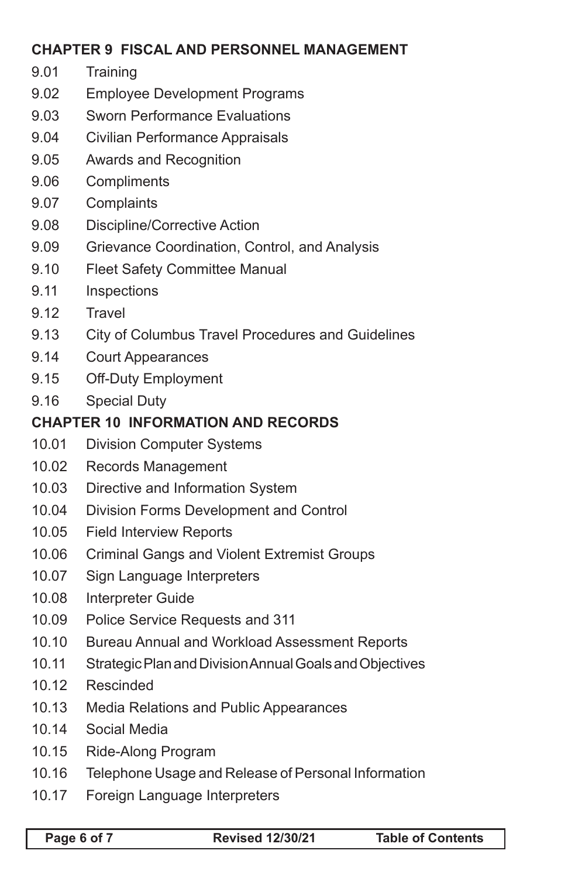# **CHAPTER 9 FISCAL AND PERSONNEL MANAGEMENT**

- 9.01 Training
- 9.02 Employee Development Programs
- 9.03 Sworn Performance Evaluations
- 9.04 Civilian Performance Appraisals
- 9.05 Awards and Recognition
- 9.06 Compliments
- 9.07 Complaints
- 9.08 Discipline/Corrective Action
- 9.09 Grievance Coordination, Control, and Analysis
- 9.10 Fleet Safety Committee Manual
- 9.11 Inspections
- 9.12 Travel
- 9.13 City of Columbus Travel Procedures and Guidelines
- 9.14 Court Appearances
- 9.15 Off-Duty Employment
- 9.16 Special Duty

#### **CHAPTER 10 INFORMATION AND RECORDS**

- 10.01 Division Computer Systems
- 10.02 Records Management
- 10.03 Directive and Information System
- 10.04 Division Forms Development and Control
- 10.05 Field Interview Reports
- 10.06 Criminal Gangs and Violent Extremist Groups
- 10.07 Sign Language Interpreters
- 10.08 Interpreter Guide
- 10.09 Police Service Requests and 311
- 10.10 Bureau Annual and Workload Assessment Reports
- 10.11 Strategic Plan and Division Annual Goals and Objectives
- 10.12 Rescinded
- 10.13 Media Relations and Public Appearances
- 10.14 Social Media
- 10.15 Ride-Along Program
- 10.16 Telephone Usage and Release of Personal Information
- 10.17 Foreign Language Interpreters